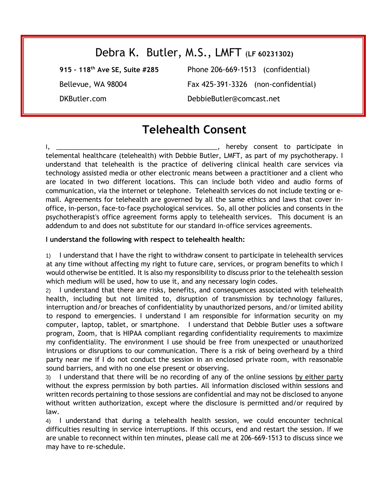## Debra K. Butler, M.S., LMFT (**LF 60231302)**

**915 – 118th Ave SE, Suite #285** Phone 206-669-1513 (confidential) Bellevue, WA 98004 Fax 425-391-3326 (non-confidential) DKButler.com DebbieButler@comcast.net

## **Telehealth Consent**

I, \_\_\_\_\_\_\_\_\_\_\_\_\_\_\_\_\_\_\_\_\_\_\_\_\_\_\_\_\_\_\_\_\_\_\_\_\_\_\_\_\_\_\_\_, hereby consent to participate in telemental healthcare (telehealth) with Debbie Butler, LMFT, as part of my psychotherapy. I understand that telehealth is the practice of delivering clinical health care services via technology assisted media or other electronic means between a practitioner and a client who are located in two different locations. This can include both video and audio forms of communication, via the internet or telephone. Telehealth services do not include texting or email. Agreements for telehealth are governed by all the same ethics and laws that cover inoffice, in-person, face-to-face psychological services. So, all other policies and consents in the psychotherapist's office agreement forms apply to telehealth services. This document is an addendum to and does not substitute for our standard in-office services agreements.

## **I understand the following with respect to telehealth health:**

1) I understand that I have the right to withdraw consent to participate in telehealth services at any time without affecting my right to future care, services, or program benefits to which I would otherwise be entitled. It is also my responsibility to discuss prior to the telehealth session which medium will be used, how to use it, and any necessary login codes.

2) I understand that there are risks, benefits, and consequences associated with telehealth health, including but not limited to, disruption of transmission by technology failures, interruption and/or breaches of confidentiality by unauthorized persons, and/or limited ability to respond to emergencies. I understand I am responsible for information security on my computer, laptop, tablet, or smartphone. I understand that Debbie Butler uses a software program, Zoom, that is HIPAA compliant regarding confidentiality requirements to maximize my confidentiality. The environment I use should be free from unexpected or unauthorized intrusions or disruptions to our communication. There is a risk of being overheard by a third party near me if I do not conduct the session in an enclosed private room, with reasonable sound barriers, and with no one else present or observing.

3) I understand that there will be no recording of any of the online sessions by either party without the express permission by both parties. All information disclosed within sessions and written records pertaining to those sessions are confidential and may not be disclosed to anyone without written authorization, except where the disclosure is permitted and/or required by law.

4) I understand that during a telehealth health session, we could encounter technical difficulties resulting in service interruptions. If this occurs, end and restart the session. If we are unable to reconnect within ten minutes, please call me at 206-669-1513 to discuss since we may have to re-schedule.